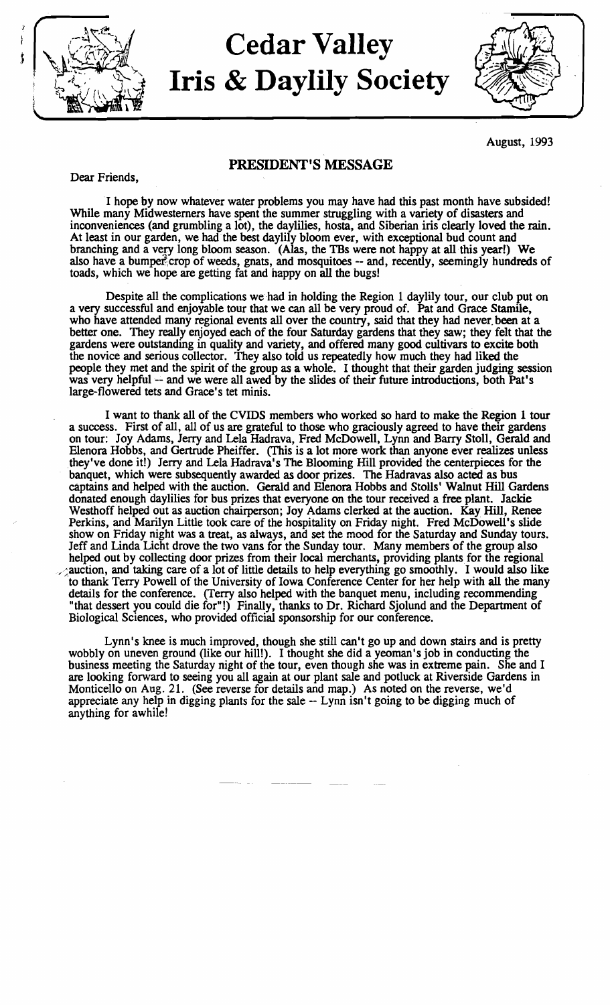

# $\rm Cedar~ Valley$ Iris & Daylily Society



August, 1993

## PRESIDENT'S MESSAGE

Dear Friends,

I hope by now whatever water problems you may have had this past month have subsided! While many Midwesterners have spent the summer struggling with a variety of disasters and inconveniences (and grumbling a lot), the daylilies, hosta, and Siberian iris clearly loved the rain. At least in our garden, we had the best daylily bloom ever, with exceptional bud count and branching and a very long bloom season. (Alas, the TBs were not happy at all this year!) We also have a bumper-crop of weeds, gnats, and mosquitoes -- and, recently, seemingly hundreds of toads, which we hope are getting fat and happy on all the bugs!

Despite all the complications we had in holding the Region 1 daylily tour, our club put on a very successful and enjoyable tour that we can all be very proud of. Pat and Grace Stamile, who have attended many regional events all over the country, said that they had never, been at a better one. They really enjoyed each of the four Saturday gardens that they saw; they felt that the gardens were outstanding in quality and variety, and offered many good cultivars to excite both the novice and serious collector. They also told us repeatedly how much they had liked the people they met and the spirit of the group as a whole. I thought that their garden judging session was very helpful -- and we were all awed by the slides of their future introductions, both Pat's large-flowered tets and Grace's tet minis.

I want to thank all of the CVIDS members who worked so hard to make the Region 1 tour a success. First of all, all of us are grateful to those who graciously agreed to have their gardens on tour: Joy Adams, Jerry and Lela Hadrava, Fred McDowell, Lynn and Barry Stoll, Gerald and Elenora Hobbs, and Gertrude Pheiffer. (This is a lot more work than anyone ever realizes unless .they've done it!) Jerry and Lela Hadrava's The Blooming Hill provided the centerpieces for the banquet, which were subsequently awarded as door prizes. The Hadravas also acted as bus captains and helped with the auction. Gerald and Elenora Hobbs and Stolls' Walnut Hill Gardens donated enough daylilies for bus prizes that everyone on the tour received a free plant. Jackie Westhoff helped out as auction chairperson; Joy Adams clerked at the auction. Kay Hill, Renee Perkins, and Marilyn Little took care of the hospitality on Friday night. Fred McDowell's slide show on Friday night was a treat, as always, and set the mood for the Saturday and Sunday tours. Jeff and Linda Licht drove the two vans for the Sunday tour. Many members of the group also helped out by collecting door prizes from their local merchants, providing plants for the regional  $\sim$  auction, and taking care of a lot of little details to help everything go smoothly. I would also like to thank Terry Powell of the University of Iowa Conference Center for her help with all the many details for the conference. (Terry also helped with the banquet menu, including recommending "that dessert you could die for"!) Finally, thanks to Dr. Richard Sjolund and the Department of Biological Sciences, who provided official sponsorship for our conference.

Lynn's knee is much improved, though she still can't go up and down stairs and is pretty wobbly on uneven ground (like our hill!). I thought she did a yeoman's job in conducting the business meeting the Saturday night of the tour, even though she was in extreme pain. She and I are looking forward to seeing you all again at our plant sale and potluck at Riverside Gardens in Monticello on Aug. 21. (See reverse for details and map.) As noted on the reverse, we'd appreciate any help in digging plants for the sale -- Lynn isn't going to be digging much of anything for awhile!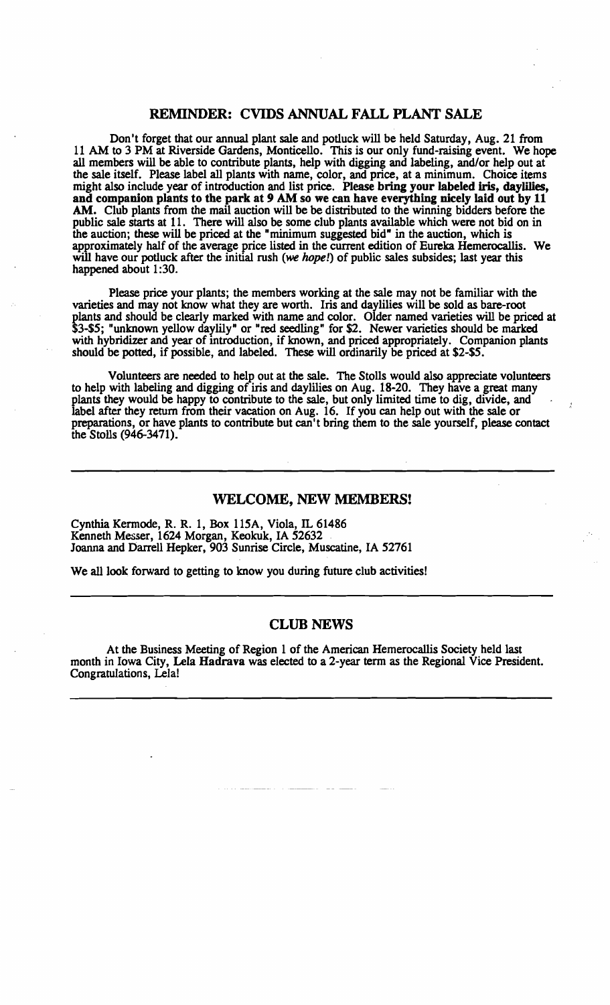### REMINDER: CVIDS ANNUAL FALL PLANT SALE

Don't forget that our annual plant sale and potluck will be held Saturday, Aug. 21 from 11 AM to 3 PM at Riverside Gardens, Monticello. This is our only fund-raising event. We hope all members will be able to contribute plants, help with digging and labeling, and/or help out at the sale itself. Please label all plants with name, color, and price, at a minimum. Choice items might also include year of introduction and list price. Please bring your labeled iris, daylilies, and companion plants to the park at 9 AM so we can have everything nicely laid out by 11 AM. Club plants from the mail auction will be be distributed to the winning bidders before the public sale starts at 11. There will also be some club plants available which were not bid on in the auction; these will be priced at the "minimum suggested bid" in the auction, which is approximately half of the average price listed in the current edition of Eureka Hemerocallis. We will have our potluck after the initial rush (we hope!) of public sales subsides; last year this happened about 1:30.

Please price your plants; the members working at the sale may not be familiar with the varieties and may not know what they are worth. Iris and daylilies will be sold as bare-root plants and should be clearly marked with name and color. Older named varieties will be priced at \$3-\$5; "unknown yellow daylily" or "red seedling" for \$2. Newer varieties should be marked with hybridizer and year of introduction, if known, and priced appropriately. Companion plants should be potted, if possible, and labeled. These will ordinarily be priced at \$2-\$5.

Volunteers are needed to help out at the sale. The Stolls would also appreciate volunteers to help with labeling and digging of iris and daylilies on Aug. 18-20. They have a great many plants they would be happy to contribute to the sale, but only limited time to dig, divide, and label after they return from their vacation on Aug. 16. If you can help out with the sale or preparations, or have plants to contribute but can't bring them to the sale yourself, please contact the Stolls (946-3471).

#### WELCOME, NEW MEMBERS!

Cynthia Kermode, R. R. 1, Box 115A, Viola, IL 61486 Kenneth Messer, 1624 Morgan, Keokuk, IA 52632 Joanna and barrell Hepker, 903 Sunrise Circle, Muscatine, IA 52761

We all look forward to getting to know you during future club activities!

#### CLUB NEWS

At the Business Meeting of Region 1 of the American Hemerocallis Society held last month in Iowa City, Lela Hadrava was elected to a 2-year term as the Regional Vice President. Congratulations, Lela!